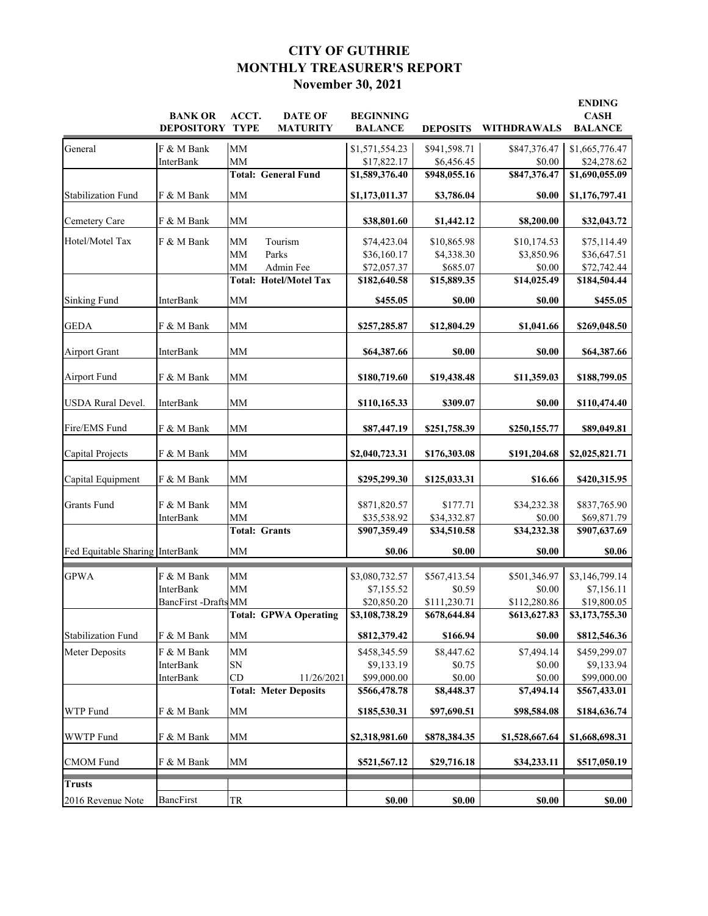## **CITY OF GUTHRIE MONTHLY TREASURER'S REPORT November 30, 2021**

|                                 | <b>BANK OR</b><br><b>DEPOSITORY TYPE</b> | ACCT.<br><b>DATE OF</b><br><b>MATURITY</b> | <b>BEGINNING</b><br><b>BALANCE</b> | <b>DEPOSITS</b> | <b>WITHDRAWALS</b> | <b>ENDING</b><br><b>CASH</b><br><b>BALANCE</b> |
|---------------------------------|------------------------------------------|--------------------------------------------|------------------------------------|-----------------|--------------------|------------------------------------------------|
| General                         | F & M Bank                               | <b>MM</b>                                  | \$1,571,554.23                     | \$941,598.71    | \$847,376.47       | \$1,665,776.47                                 |
|                                 | <b>InterBank</b>                         | <b>MM</b>                                  | \$17,822.17                        | \$6,456.45      | \$0.00             | \$24,278.62                                    |
|                                 |                                          | <b>Total: General Fund</b>                 | \$1,589,376.40                     | \$948,055.16    | \$847,376.47       | \$1,690,055.09                                 |
| <b>Stabilization Fund</b>       | F & M Bank                               | <b>MM</b>                                  | \$1,173,011.37                     | \$3,786.04      | \$0.00             | \$1,176,797.41                                 |
| Cemetery Care                   | F & M Bank                               | <b>MM</b>                                  | \$38,801.60                        | \$1,442.12      | \$8,200.00         | \$32,043.72                                    |
| Hotel/Motel Tax                 | F & M Bank                               | <b>MM</b><br>Tourism                       | \$74,423.04                        | \$10,865.98     | \$10,174.53        | \$75,114.49                                    |
|                                 |                                          | MM<br>Parks                                | \$36,160.17                        | \$4,338.30      | \$3,850.96         | \$36,647.51                                    |
|                                 |                                          | Admin Fee<br>MM                            | \$72,057.37                        | \$685.07        | \$0.00             | \$72,742.44                                    |
|                                 |                                          | <b>Total: Hotel/Motel Tax</b>              | \$182,640.58                       | \$15,889.35     | \$14,025.49        | \$184,504.44                                   |
| <b>Sinking Fund</b>             | <b>InterBank</b>                         | <b>MM</b>                                  | \$455.05                           | \$0.00          | \$0.00             | \$455.05                                       |
| <b>GEDA</b>                     | F & M Bank                               | MM                                         | \$257,285.87                       | \$12,804.29     | \$1,041.66         | \$269,048.50                                   |
| <b>Airport Grant</b>            | InterBank                                | <b>MM</b>                                  | \$64,387.66                        | \$0.00          | \$0.00             | \$64,387.66                                    |
|                                 |                                          |                                            |                                    |                 |                    |                                                |
| Airport Fund                    | F & M Bank                               | MM                                         | \$180,719.60                       | \$19,438.48     | \$11,359.03        | \$188,799.05                                   |
| <b>USDA Rural Devel.</b>        | <b>InterBank</b>                         | MM                                         | \$110,165.33                       | \$309.07        | \$0.00             | \$110,474.40                                   |
| Fire/EMS Fund                   | F & M Bank                               | <b>MM</b>                                  | \$87,447.19                        | \$251,758.39    | \$250,155.77       | \$89,049.81                                    |
| Capital Projects                | F & M Bank                               | <b>MM</b>                                  | \$2,040,723.31                     | \$176,303.08    | \$191,204.68       | \$2,025,821.71                                 |
| Capital Equipment               | F & M Bank                               | MM                                         | \$295,299.30                       | \$125,033.31    | \$16.66            | \$420,315.95                                   |
| <b>Grants Fund</b>              | F & M Bank                               | MM                                         | \$871,820.57                       | \$177.71        | \$34,232.38        | \$837,765.90                                   |
|                                 | <b>InterBank</b>                         | MM                                         | \$35,538.92                        | \$34,332.87     | \$0.00             | \$69,871.79                                    |
|                                 |                                          | <b>Total: Grants</b>                       | \$907,359.49                       | \$34,510.58     | \$34,232.38        | \$907,637.69                                   |
| Fed Equitable Sharing InterBank |                                          | <b>MM</b>                                  | \$0.06                             | \$0.00          | \$0.00             | \$0.06                                         |
| <b>GPWA</b>                     | F & M Bank                               | <b>MM</b>                                  | \$3,080,732.57                     | \$567,413.54    | \$501,346.97       | \$3,146,799.14                                 |
|                                 | <b>InterBank</b>                         | <b>MM</b>                                  | \$7,155.52                         | \$0.59          | \$0.00             | \$7,156.11                                     |
|                                 | BancFirst -DraftsMM                      |                                            | \$20,850.20                        | \$111,230.71    | \$112,280.86       | \$19,800.05                                    |
|                                 |                                          | <b>Total: GPWA Operating</b>               | \$3,108,738.29                     | \$678,644.84    | \$613,627.83       | \$3,173,755.30                                 |
| <b>Stabilization Fund</b>       | F & M Bank                               | MM                                         | \$812,379.42                       | \$166.94        | \$0.00             | \$812,546.36                                   |
| Meter Deposits                  | F & M Bank                               | <b>MM</b>                                  | \$458,345.59                       | \$8,447.62      | \$7,494.14         | \$459,299.07                                   |
|                                 | InterBank                                | ${\rm SN}$                                 | \$9,133.19                         | \$0.75          | \$0.00             | \$9,133.94                                     |
|                                 | <b>InterBank</b>                         | CD<br>11/26/2021                           | \$99,000.00                        | \$0.00          | \$0.00             | \$99,000.00                                    |
|                                 |                                          | <b>Total: Meter Deposits</b>               | \$566,478.78                       | \$8,448.37      | \$7,494.14         | \$567,433.01                                   |
| WTP Fund                        | F & M Bank                               | MM                                         | \$185,530.31                       | \$97,690.51     | \$98,584.08        | \$184,636.74                                   |
| <b>WWTP Fund</b>                | F & M Bank                               | $\mathbf{M}\mathbf{M}$                     | \$2,318,981.60                     | \$878,384.35    | \$1,528,667.64     | \$1,668,698.31                                 |
| <b>CMOM</b> Fund                | F & M Bank                               | MM                                         | \$521,567.12                       | \$29,716.18     | \$34,233.11        | \$517,050.19                                   |
| <b>Trusts</b>                   |                                          |                                            |                                    |                 |                    |                                                |
| 2016 Revenue Note               | <b>BancFirst</b>                         | ${\rm TR}$                                 | \$0.00                             | \$0.00          | \$0.00             | \$0.00                                         |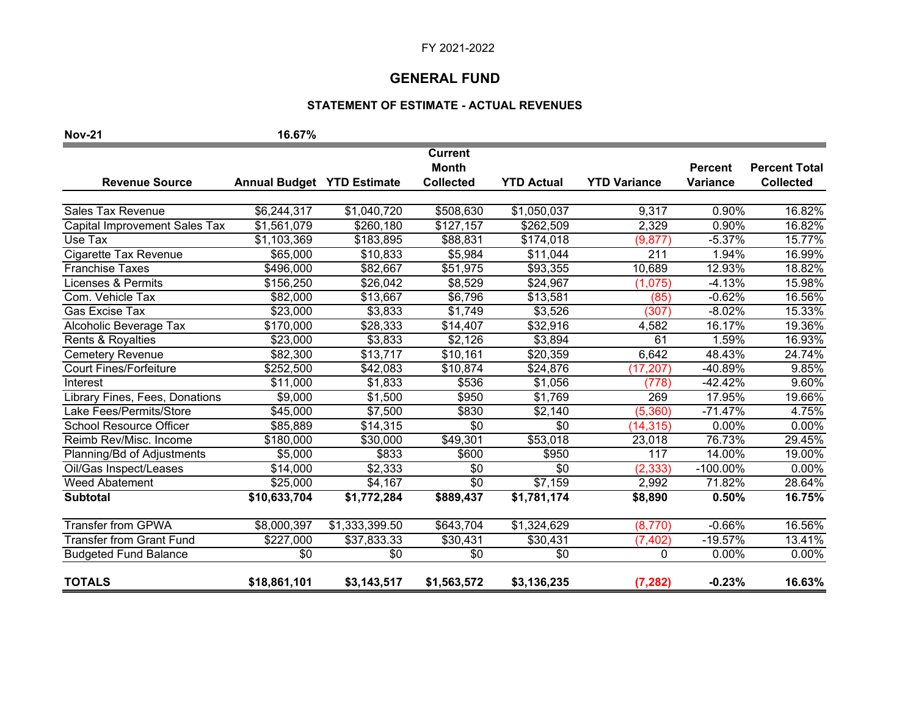## **GENERAL FUND**

## **STATEMENT OF ESTIMATE - ACTUAL REVENUES**

| <b>Nov-21</b>                         | 16.67%                            |                |                                |                       |                     |                 |                      |
|---------------------------------------|-----------------------------------|----------------|--------------------------------|-----------------------|---------------------|-----------------|----------------------|
|                                       |                                   |                | <b>Current</b><br><b>Month</b> |                       |                     | <b>Percent</b>  | <b>Percent Total</b> |
| <b>Revenue Source</b>                 | <b>Annual Budget YTD Estimate</b> |                | <b>Collected</b>               | <b>YTD Actual</b>     | <b>YTD Variance</b> | <b>Variance</b> | <b>Collected</b>     |
|                                       |                                   |                |                                |                       |                     |                 |                      |
| <b>Sales Tax Revenue</b>              | \$6,244,317                       | \$1,040,720    | \$508,630                      | \$1,050,037           | 9,317               | 0.90%           | 16.82%               |
| Capital Improvement Sales Tax         | \$1,561,079                       | \$260,180      | \$127,157                      | $\overline{$262,509}$ | 2,329               | 0.90%           | 16.82%               |
| Use Tax                               | \$1,103,369                       | \$183,895      | \$88,831                       | \$174,018             | (9, 877)            | $-5.37%$        | 15.77%               |
| Cigarette Tax Revenue                 | \$65,000                          | \$10,833       | \$5,984                        | \$11,044              | 211                 | 1.94%           | 16.99%               |
| <b>Franchise Taxes</b>                | \$496,000                         | \$82,667       | \$51,975                       | \$93,355              | 10,689              | 12.93%          | 18.82%               |
| <b>Licenses &amp; Permits</b>         | \$156,250                         | \$26,042       | \$8,529                        | \$24,967              | (1,075)             | $-4.13%$        | 15.98%               |
| Com. Vehicle Tax                      | \$82,000                          | \$13,667       | \$6,796                        | \$13,581              | (85)                | $-0.62%$        | 16.56%               |
| <b>Gas Excise Tax</b>                 | \$23,000                          | \$3,833        | \$1,749                        | \$3,526               | (307)               | $-8.02%$        | 15.33%               |
| Alcoholic Beverage Tax                | \$170,000                         | \$28,333       | \$14,407                       | \$32,916              | 4,582               | 16.17%          | 19.36%               |
| Rents & Royalties                     | \$23,000                          | \$3,833        | \$2,126                        | \$3,894               | 61                  | 1.59%           | 16.93%               |
| <b>Cemetery Revenue</b>               | \$82,300                          | \$13,717       | \$10,161                       | $\overline{$}20,359$  | 6,642               | 48.43%          | 24.74%               |
| <b>Court Fines/Forfeiture</b>         | \$252,500                         | \$42,083       | \$10,874                       | \$24,876              | (17, 207)           | -40.89%         | 9.85%                |
| Interest                              | \$11,000                          | \$1,833        | \$536                          | \$1,056               | (778)               | $-42.42%$       | 9.60%                |
| <b>Library Fines, Fees, Donations</b> | \$9,000                           | \$1,500        | \$950                          | \$1,769               | 269                 | 17.95%          | 19.66%               |
| Lake Fees/Permits/Store               | \$45,000                          | \$7,500        | \$830                          | \$2,140               | (5,360)             | $-71.47%$       | 4.75%                |
| <b>School Resource Officer</b>        | \$85,889                          | \$14,315       | \$0                            | \$0                   | (14, 315)           | 0.00%           | 0.00%                |
| Reimb Rev/Misc. Income                | \$180,000                         | \$30,000       | \$49,301                       | \$53,018              | 23,018              | 76.73%          | 29.45%               |
| Planning/Bd of Adjustments            | \$5,000                           | \$833          | \$600                          | \$950                 | 117                 | 14.00%          | 19.00%               |
| Oil/Gas Inspect/Leases                | \$14,000                          | \$2,333        | \$0                            | \$0                   | (2, 333)            | $-100.00\%$     | 0.00%                |
| <b>Weed Abatement</b>                 | \$25,000                          | \$4,167        | $\overline{50}$                | \$7,159               | 2,992               | 71.82%          | 28.64%               |
| <b>Subtotal</b>                       | \$10,633,704                      | \$1,772,284    | \$889,437                      | $\sqrt{1,781,174}$    | \$8,890             | 0.50%           | 16.75%               |
| <b>Transfer from GPWA</b>             | \$8,000,397                       | \$1,333,399.50 | \$643,704                      | \$1,324,629           | (8,770)             | $-0.66%$        | 16.56%               |
| <b>Transfer from Grant Fund</b>       | \$227,000                         | \$37,833.33    | \$30,431                       | \$30,431              | (7, 402)            | $-19.57%$       | 13.41%               |
| <b>Budgeted Fund Balance</b>          | \$0                               | \$0            | \$0                            | \$0                   | 0                   | 0.00%           | 0.00%                |
| <b>TOTALS</b>                         | \$18,861,101                      | \$3,143,517    | \$1,563,572                    | \$3,136,235           | (7, 282)            | $-0.23%$        | 16.63%               |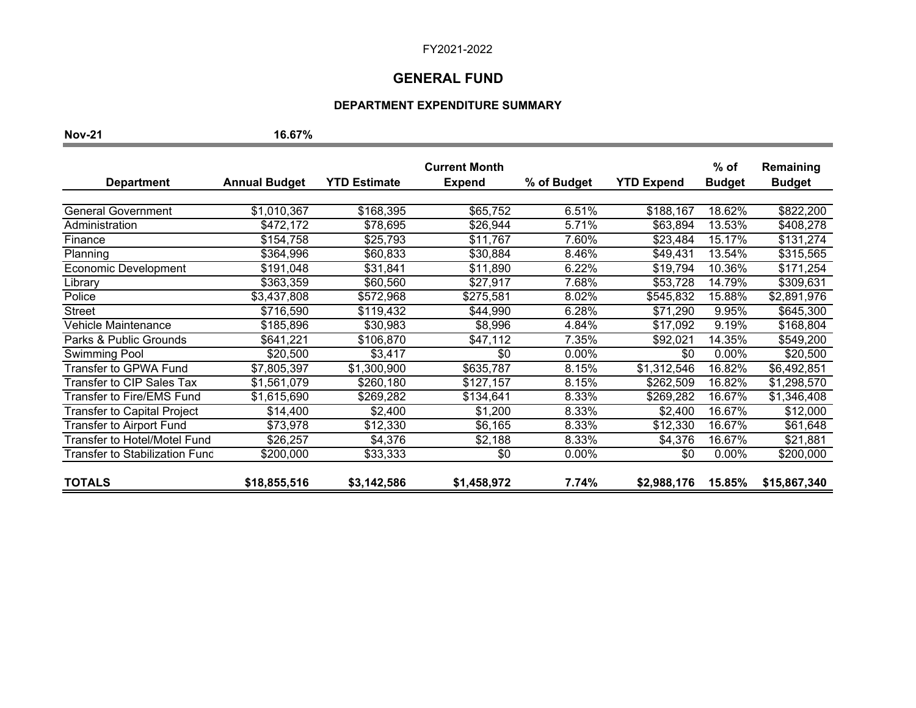## **GENERAL FUND**

#### **DEPARTMENT EXPENDITURE SUMMARY**

**Nov-21 16.67%** 

|                                    |                      |                     | <b>Current Month</b> |             |                   | $%$ of        | Remaining     |
|------------------------------------|----------------------|---------------------|----------------------|-------------|-------------------|---------------|---------------|
| <b>Department</b>                  | <b>Annual Budget</b> | <b>YTD Estimate</b> | <b>Expend</b>        | % of Budget | <b>YTD Expend</b> | <b>Budget</b> | <b>Budget</b> |
|                                    |                      |                     |                      |             |                   |               |               |
| <b>General Government</b>          | \$1,010,367          | \$168,395           | \$65,752             | 6.51%       | \$188,167         | 18.62%        | \$822,200     |
| Administration                     | \$472,172            | \$78,695            | \$26,944             | 5.71%       | \$63,894          | 13.53%        | \$408,278     |
| Finance                            | \$154,758            | \$25,793            | \$11,767             | 7.60%       | \$23,484          | 15.17%        | \$131,274     |
| Planning                           | \$364,996            | \$60,833            | \$30,884             | 8.46%       | \$49,431          | 13.54%        | \$315,565     |
| Economic Development               | \$191,048            | \$31,841            | \$11,890             | 6.22%       | \$19,794          | 10.36%        | \$171,254     |
| Library                            | \$363,359            | \$60,560            | \$27,917             | 7.68%       | \$53,728          | 14.79%        | \$309,631     |
| Police                             | \$3,437,808          | \$572,968           | \$275,581            | 8.02%       | \$545,832         | 15.88%        | \$2,891,976   |
| <b>Street</b>                      | \$716,590            | \$119,432           | \$44,990             | 6.28%       | \$71,290          | 9.95%         | \$645,300     |
| Vehicle Maintenance                | \$185,896            | \$30,983            | \$8,996              | 4.84%       | \$17,092          | 9.19%         | \$168,804     |
| Parks & Public Grounds             | \$641,221            | \$106,870           | \$47,112             | 7.35%       | \$92,021          | 14.35%        | \$549,200     |
| Swimming Pool                      | \$20,500             | \$3,417             | \$0                  | 0.00%       | \$0               | 0.00%         | \$20,500      |
| Transfer to GPWA Fund              | \$7,805,397          | \$1,300,900         | \$635,787            | 8.15%       | \$1,312,546       | 16.82%        | \$6,492,851   |
| Transfer to CIP Sales Tax          | \$1,561,079          | \$260,180           | \$127,157            | 8.15%       | \$262,509         | 16.82%        | \$1,298,570   |
| <b>Transfer to Fire/EMS Fund</b>   | \$1,615,690          | \$269,282           | \$134,641            | 8.33%       | \$269,282         | 16.67%        | \$1,346,408   |
| <b>Transfer to Capital Project</b> | \$14,400             | \$2,400             | \$1,200              | 8.33%       | \$2,400           | 16.67%        | \$12,000      |
| <b>Transfer to Airport Fund</b>    | \$73,978             | \$12,330            | \$6,165              | 8.33%       | \$12,330          | 16.67%        | \$61,648      |
| Transfer to Hotel/Motel Fund       | \$26,257             | \$4,376             | \$2,188              | 8.33%       | \$4,376           | 16.67%        | \$21,881      |
| Transfer to Stabilization Fund     | \$200,000            | \$33,333            | \$0                  | 0.00%       | \$0               | 0.00%         | \$200,000     |
|                                    |                      |                     |                      |             |                   |               |               |
| <b>TOTALS</b>                      | \$18,855,516         | \$3,142,586         | \$1,458,972          | 7.74%       | \$2,988,176       | 15.85%        | \$15,867,340  |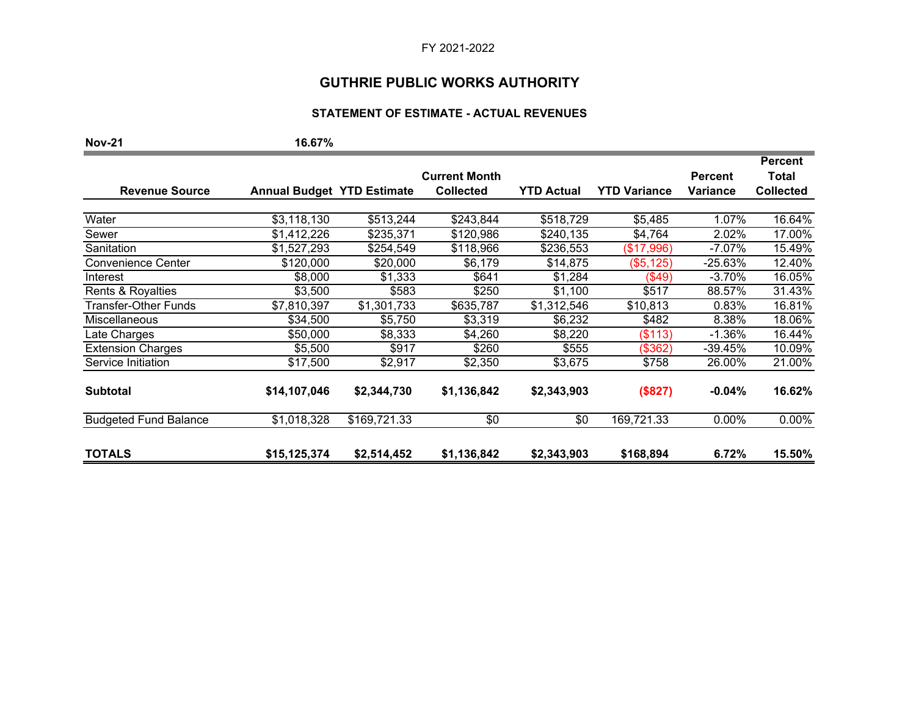### **GUTHRIE PUBLIC WORKS AUTHORITY**

### **STATEMENT OF ESTIMATE - ACTUAL REVENUES**

**Nov-21 16.67%** 

**Revenue Source Annual Budget YTD Estimate Current Month Collected YTD Actual YTD Variance Percent Variance Percent Total Collected** Water \$3,118,130 \$513,244 \$243,844 \$518,729 \$5,485 1.07% 16.64% Sewer \$1,412,226 \$235,371 \$120,986 \$240,135 \$4,764 2.02% 17.00% Sanitation \$1,527,293 \$254,549 \$118,966 \$236,553 (\$17,996) -7.07% 15.49% Convenience Center  $$120,000$   $$20,000$   $$6,179$   $$14,875$   $($5,125)$   $-25.63\%$  12.40% Interest \$8,000 \$1,333 \$641 \$1,284 (\$49) -3.70% 16.05% Rents & Royalties **81,439** \$3,500 \$583 \$250 \$1,100 \$517 \$8.57% 31.43% Transfer-Other Funds \$7,810,397 \$1,301,733 \$635,787 \$1,312,546 \$10,813 0.83% 16.81% Miscellaneous \$34,500 \$5,750 \$3,319 \$6,232 \$482 8.38% 18.06% Late Charges \$50,000 \$8,333 \$4,260 \$8,220 (\$113) -1.36% 16.44% Extension Charges **\$5,500** \$917 \$260 \$555 (\$362) -39.45% 10.09% Service Initiation **517,500** \$2,917 \$2,350 \$3,675 \$758 26.00% 21.00% **Subtotal \$14,107,046 \$2,344,730 \$1,136,842 \$2,343,903 (\$827) -0.04% 16.62%** Budgeted Fund Balance  $$1,018,328$   $$169,721.33$   $$0$   $$0$   $$169,721.33$   $$0.00\%$   $$0.00\%$ **TOTALS \$15,125,374 \$2,514,452 \$1,136,842 \$2,343,903 \$168,894 6.72% 15.50%**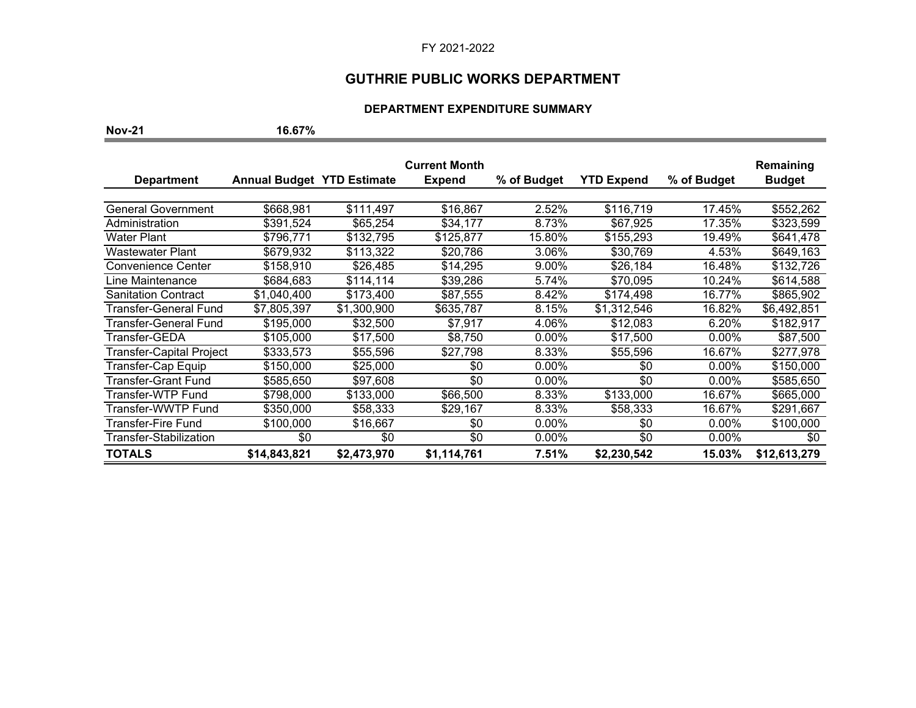# **GUTHRIE PUBLIC WORKS DEPARTMENT**

### **DEPARTMENT EXPENDITURE SUMMARY**

**Nov-21 16.67%** 

| <b>Department</b>          | <b>Annual Budget YTD Estimate</b> |             | <b>Current Month</b><br><b>Expend</b> | % of Budget | <b>YTD Expend</b> | % of Budget | Remaining<br><b>Budget</b> |
|----------------------------|-----------------------------------|-------------|---------------------------------------|-------------|-------------------|-------------|----------------------------|
|                            |                                   |             |                                       |             |                   |             |                            |
| <b>General Government</b>  | \$668,981                         | \$111.497   | \$16,867                              | 2.52%       | \$116,719         | 17.45%      | \$552,262                  |
| Administration             | \$391,524                         | \$65,254    | \$34,177                              | 8.73%       | \$67,925          | 17.35%      | \$323,599                  |
| <b>Water Plant</b>         | \$796,771                         | \$132,795   | \$125,877                             | 15.80%      | \$155,293         | 19.49%      | \$641,478                  |
| <b>Wastewater Plant</b>    | \$679.932                         | \$113,322   | \$20.786                              | 3.06%       | \$30.769          | 4.53%       | \$649,163                  |
| Convenience Center         | \$158,910                         | \$26,485    | \$14,295                              | 9.00%       | \$26,184          | 16.48%      | \$132,726                  |
| Line Maintenance           | \$684,683                         | \$114,114   | \$39,286                              | 5.74%       | \$70,095          | 10.24%      | \$614,588                  |
| <b>Sanitation Contract</b> | \$1,040,400                       | \$173,400   | \$87,555                              | 8.42%       | \$174,498         | 16.77%      | \$865,902                  |
| Transfer-General Fund      | \$7,805,397                       | \$1,300,900 | \$635,787                             | 8.15%       | \$1,312,546       | 16.82%      | \$6,492,851                |
| Transfer-General Fund      | \$195,000                         | \$32,500    | \$7,917                               | 4.06%       | \$12,083          | 6.20%       | \$182,917                  |
| Transfer-GEDA              | \$105,000                         | \$17,500    | \$8.750                               | $0.00\%$    | \$17,500          | 0.00%       | \$87,500                   |
| Transfer-Capital Project   | \$333,573                         | \$55,596    | \$27,798                              | 8.33%       | \$55,596          | 16.67%      | \$277,978                  |
| Transfer-Cap Equip         | \$150,000                         | \$25,000    | \$0                                   | $0.00\%$    | \$0               | 0.00%       | \$150,000                  |
| <b>Transfer-Grant Fund</b> | \$585,650                         | \$97,608    | \$0                                   | 0.00%       | \$0               | $0.00\%$    | \$585,650                  |
| Transfer-WTP Fund          | \$798,000                         | \$133,000   | \$66,500                              | 8.33%       | \$133,000         | 16.67%      | \$665,000                  |
| Transfer-WWTP Fund         | \$350,000                         | \$58,333    | \$29,167                              | 8.33%       | \$58,333          | 16.67%      | \$291,667                  |
| Transfer-Fire Fund         | \$100,000                         | \$16,667    | \$0                                   | $0.00\%$    | \$0               | $0.00\%$    | \$100,000                  |
| Transfer-Stabilization     | \$0                               | \$0         | \$0                                   | $0.00\%$    | \$0               | $0.00\%$    | \$0                        |
| <b>TOTALS</b>              | \$14,843,821                      | \$2,473,970 | \$1,114,761                           | 7.51%       | \$2,230,542       | 15.03%      | \$12,613,279               |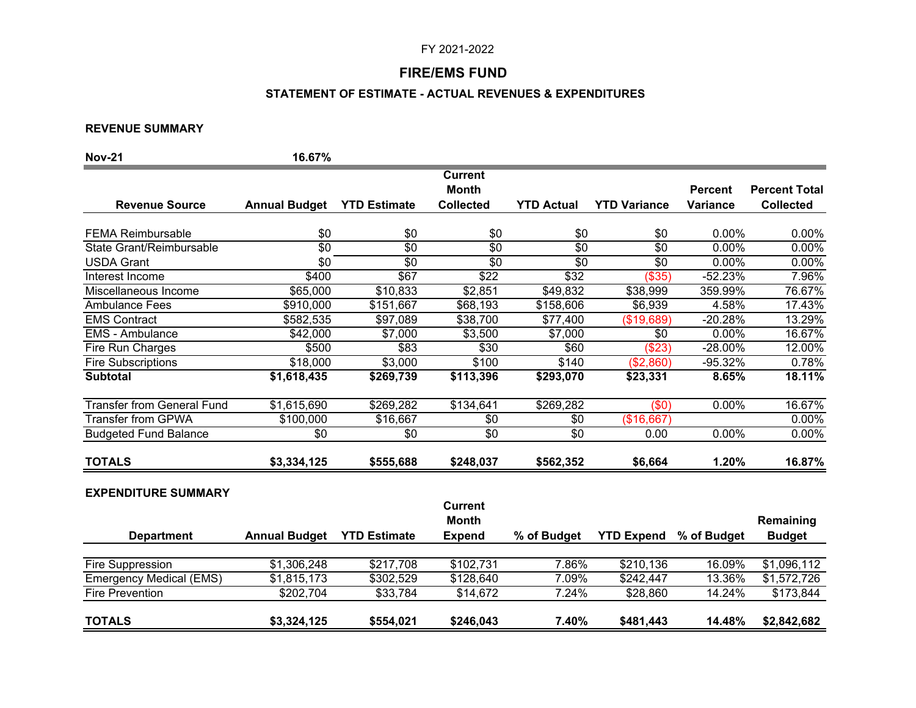## **FIRE/EMS FUND**

## **STATEMENT OF ESTIMATE - ACTUAL REVENUES & EXPENDITURES**

#### **REVENUE SUMMARY**

| <b>Nov-21</b>                     | 16.67%               |                     |                                |                   |                     |                 |                      |
|-----------------------------------|----------------------|---------------------|--------------------------------|-------------------|---------------------|-----------------|----------------------|
|                                   |                      |                     | <b>Current</b><br><b>Month</b> |                   |                     | <b>Percent</b>  | <b>Percent Total</b> |
| <b>Revenue Source</b>             | <b>Annual Budget</b> | <b>YTD Estimate</b> | <b>Collected</b>               | <b>YTD Actual</b> | <b>YTD Variance</b> | <b>Variance</b> | <b>Collected</b>     |
| <b>FEMA Reimbursable</b>          | \$0                  | \$0                 | \$0                            | \$0               | \$0                 | 0.00%           | 0.00%                |
| State Grant/Reimbursable          | $\overline{30}$      | $\overline{50}$     | $\overline{50}$                | $\overline{50}$   | $\sqrt{6}$          | 0.00%           | 0.00%                |
| <b>USDA Grant</b>                 | \$0                  | $\overline{50}$     | \$0                            | $\overline{30}$   | \$0                 | 0.00%           | 0.00%                |
| Interest Income                   | \$400                | \$67                | $\sqrt{$22}$                   | \$32              | $($ \$35)           | $-52.23%$       | 7.96%                |
| Miscellaneous Income              | \$65,000             | \$10,833            | \$2,851                        | \$49,832          | \$38,999            | 359.99%         | 76.67%               |
| <b>Ambulance Fees</b>             | \$910,000            | \$151,667           | \$68,193                       | \$158,606         | \$6,939             | 4.58%           | 17.43%               |
| <b>EMS Contract</b>               | \$582,535            | \$97,089            | \$38,700                       | \$77,400          | (\$19,689)          | $-20.28%$       | 13.29%               |
| <b>EMS</b> - Ambulance            | \$42,000             | \$7,000             | \$3,500                        | \$7,000           | \$0                 | 0.00%           | 16.67%               |
| Fire Run Charges                  | \$500                | \$83                | \$30                           | \$60              | (\$23)              | $-28.00%$       | 12.00%               |
| <b>Fire Subscriptions</b>         | \$18,000             | \$3,000             | \$100                          | \$140             | ( \$2,860)          | $-95.32%$       | 0.78%                |
| <b>Subtotal</b>                   | \$1,618,435          | \$269,739           | \$113,396                      | \$293,070         | \$23,331            | 8.65%           | 18.11%               |
| <b>Transfer from General Fund</b> | \$1,615,690          | \$269,282           | \$134,641                      | \$269,282         | (50)                | 0.00%           | 16.67%               |
| <b>Transfer from GPWA</b>         | \$100,000            | \$16,667            | \$0                            | \$0               | (\$16,667)          |                 | 0.00%                |
| <b>Budgeted Fund Balance</b>      | \$0                  | \$0                 | $\overline{50}$                | $\overline{30}$   | 0.00                | 0.00%           | 0.00%                |
| <b>TOTALS</b>                     | \$3,334,125          | \$555,688           | \$248,037                      | \$562,352         | \$6,664             | 1.20%           | 16.87%               |
| <b>EXPENDITURE SUMMARY</b>        |                      |                     |                                |                   |                     |                 |                      |
|                                   |                      |                     | <b>Current</b>                 |                   |                     |                 |                      |
|                                   |                      |                     | <b>Month</b>                   |                   |                     |                 | Remaining            |
| <b>Department</b>                 | <b>Annual Budget</b> | <b>YTD Estimate</b> | <b>Expend</b>                  | % of Budget       | <b>YTD Expend</b>   | % of Budget     | <b>Budget</b>        |
| Fire Suppression                  | \$1,306,248          | \$217,708           | \$102,731                      | 7.86%             | \$210,136           | 16.09%          | \$1,096,112          |
| <b>Emergency Medical (EMS)</b>    | \$1,815,173          | \$302,529           | \$128,640                      | 7.09%             | $\sqrt{242,447}$    | 13.36%          | \$1,572,726          |
| <b>Fire Prevention</b>            | \$202,704            | \$33,784            | \$14,672                       | 7.24%             | \$28,860            | 14.24%          | \$173,844            |
| <b>TOTALS</b>                     | \$3,324,125          | \$554,021           | \$246,043                      | 7.40%             | \$481,443           | 14.48%          | \$2,842,682          |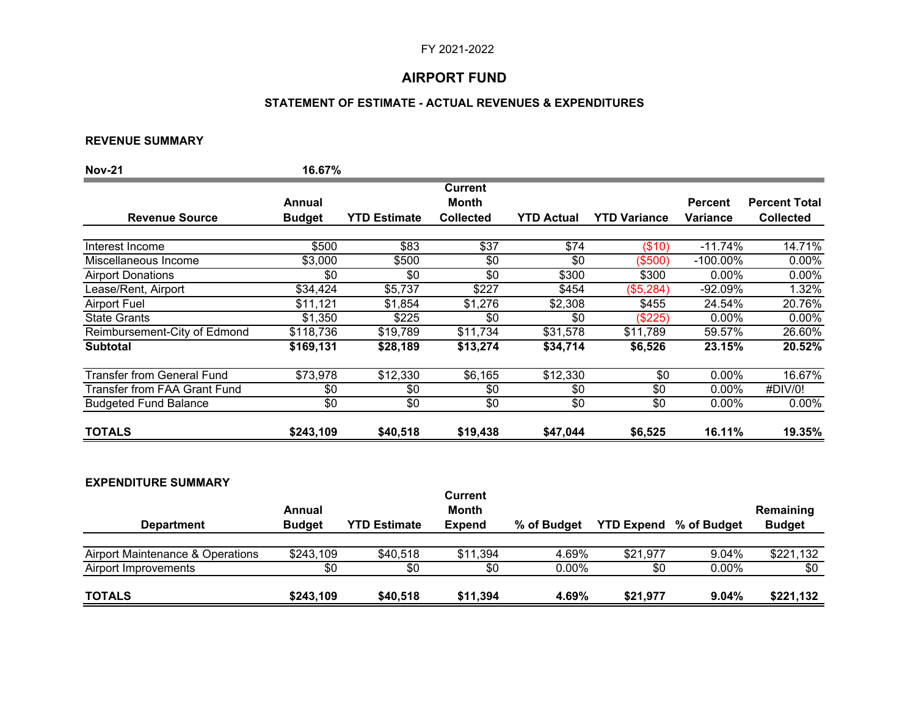## **AIRPORT FUND**

## **STATEMENT OF ESTIMATE - ACTUAL REVENUES & EXPENDITURES**

#### **REVENUE SUMMARY**

| <b>Nov-21</b>                     | 16.67%        |                     |                         |                   |                     |                |                      |
|-----------------------------------|---------------|---------------------|-------------------------|-------------------|---------------------|----------------|----------------------|
|                                   | Annual        |                     | <b>Current</b><br>Month |                   |                     | <b>Percent</b> | <b>Percent Total</b> |
| <b>Revenue Source</b>             | <b>Budget</b> | <b>YTD Estimate</b> | <b>Collected</b>        | <b>YTD Actual</b> | <b>YTD Variance</b> | Variance       | <b>Collected</b>     |
| Interest Income                   | \$500         | \$83                | \$37                    | \$74              | (\$10)              | $-11.74%$      | 14.71%               |
| Miscellaneous Income              | \$3,000       | \$500               | \$0                     | \$0               | (\$500)             | $-100.00\%$    | $0.00\%$             |
| <b>Airport Donations</b>          | \$0           | \$0                 | \$0                     | \$300             | \$300               | $0.00\%$       | $0.00\%$             |
| Lease/Rent, Airport               | \$34,424      | \$5,737             | \$227                   | \$454             | (\$5,284)           | -92.09%        | 1.32%                |
| <b>Airport Fuel</b>               | \$11,121      | \$1,854             | \$1,276                 | \$2,308           | \$455               | 24.54%         | 20.76%               |
| <b>State Grants</b>               | \$1,350       | \$225               | \$0                     | \$0               | (\$225)             | $0.00\%$       | 0.00%                |
| Reimbursement-City of Edmond      | \$118,736     | \$19,789            | \$11,734                | \$31,578          | \$11,789            | 59.57%         | 26.60%               |
| <b>Subtotal</b>                   | \$169,131     | \$28,189            | \$13,274                | \$34,714          | \$6,526             | 23.15%         | 20.52%               |
| <b>Transfer from General Fund</b> | \$73,978      | \$12,330            | \$6,165                 | \$12,330          | \$0                 | $0.00\%$       | 16.67%               |
| Transfer from FAA Grant Fund.     | \$0           | \$0                 | \$0                     | \$0               | \$0                 | $0.00\%$       | #DIV/0!              |
| <b>Budgeted Fund Balance</b>      | \$0           | \$0                 | \$0                     | \$0               | \$0                 | $0.00\%$       | $0.00\%$             |
| <b>TOTALS</b>                     | \$243,109     | \$40,518            | \$19,438                | \$47,044          | \$6,525             | 16.11%         | 19.35%               |

### **EXPENDITURE SUMMARY**

| <b>Department</b><br>Airport Maintenance & Operations | <b>Budget</b><br>\$243.109 | <b>YTD Estimate</b><br>\$40.518 | <b>Expend</b><br>\$11,394 | % of Budget<br>4.69% | <b>YTD Expend</b><br>\$21.977 | % of Budget<br>9.04% | <b>Budget</b><br>\$221,132 |
|-------------------------------------------------------|----------------------------|---------------------------------|---------------------------|----------------------|-------------------------------|----------------------|----------------------------|
| Airport Improvements                                  | \$0                        | \$0                             | \$0                       | $0.00\%$             | \$0                           | $0.00\%$             | \$0                        |
| <b>TOTALS</b>                                         | \$243,109                  | \$40,518                        | \$11,394                  | 4.69%                | \$21,977                      | 9.04%                | \$221,132                  |